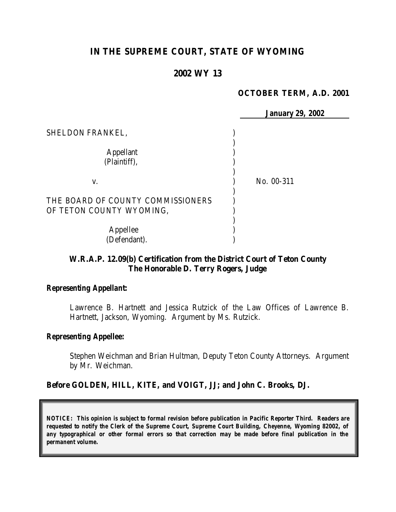# **IN THE SUPREME COURT, STATE OF WYOMING**

# **2002 WY 13**

### **OCTOBER TERM, A.D. 2001**

 *January 29, 2002* SHELDON FRANKEL,  $\qquad \qquad$ ) Appellant (1) (Plaintiff), ) ) v. ) No. 00-311 ) THE BOARD OF COUNTY COMMISSIONERS OF TETON COUNTY WYOMING, ) Appellee (b) (Defendant). )

### **W.R.A.P. 12.09(b) Certification from the District Court of Teton County The Honorable D. Terry Rogers, Judge**

#### *Representing Appellant:*

Lawrence B. Hartnett and Jessica Rutzick of the Law Offices of Lawrence B. Hartnett, Jackson, Wyoming. Argument by Ms. Rutzick.

#### *Representing Appellee:*

Stephen Weichman and Brian Hultman, Deputy Teton County Attorneys. Argument by Mr. Weichman.

#### **Before GOLDEN, HILL, KITE, and VOIGT, JJ; and John C. Brooks, DJ.**

*NOTICE: This opinion is subject to formal revision before publication in Pacific Reporter Third. Readers are requested to notify the Clerk of the Supreme Court, Supreme Court Building, Cheyenne, Wyoming 82002, of any typographical or other formal errors so that correction may be made before final publication in the permanent volume.*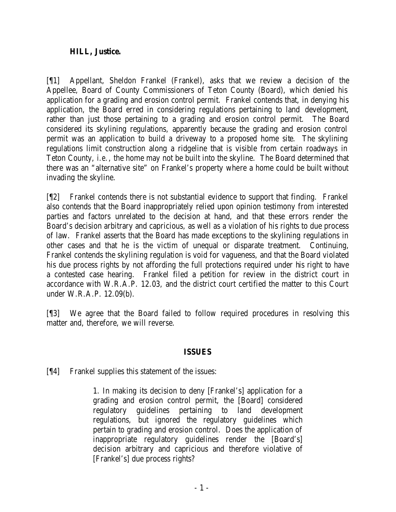### **HILL, Justice.**

[¶1] Appellant, Sheldon Frankel (Frankel), asks that we review a decision of the Appellee, Board of County Commissioners of Teton County (Board), which denied his application for a grading and erosion control permit. Frankel contends that, in denying his application, the Board erred in considering regulations pertaining to land development, rather than just those pertaining to a grading and erosion control permit. The Board considered its skylining regulations, apparently because the grading and erosion control permit was an application to build a driveway to a proposed home site. The skylining regulations limit construction along a ridgeline that is visible from certain roadways in Teton County, *i.e.*, the home may not be built into the skyline. The Board determined that there was an "alternative site" on Frankel's property where a home could be built without invading the skyline.

[¶2] Frankel contends there is not substantial evidence to support that finding. Frankel also contends that the Board inappropriately relied upon opinion testimony from interested parties and factors unrelated to the decision at hand, and that these errors render the Board's decision arbitrary and capricious, as well as a violation of his rights to due process of law. Frankel asserts that the Board has made exceptions to the skylining regulations in other cases and that he is the victim of unequal or disparate treatment. Continuing, Frankel contends the skylining regulation is void for vagueness, and that the Board violated his due process rights by not affording the full protections required under his right to have a contested case hearing. Frankel filed a petition for review in the district court in accordance with W.R.A.P. 12.03, and the district court certified the matter to this Court under W.R.A.P. 12.09(b).

[¶3] We agree that the Board failed to follow required procedures in resolving this matter and, therefore, we will reverse.

### **ISSUES**

[¶4] Frankel supplies this statement of the issues:

1. In making its decision to deny [Frankel's] application for a grading and erosion control permit, the [Board] considered regulatory guidelines pertaining to land development regulations, but ignored the regulatory guidelines which pertain to grading and erosion control. Does the application of inappropriate regulatory guidelines render the [Board's] decision arbitrary and capricious and therefore violative of [Frankel's] due process rights?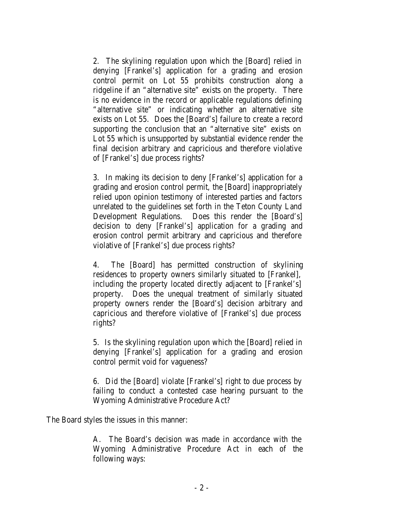2. The skylining regulation upon which the [Board] relied in denying [Frankel's] application for a grading and erosion control permit on Lot 55 prohibits construction along a ridgeline if an "alternative site" exists on the property. There is no evidence in the record or applicable regulations defining "alternative site" or indicating whether an alternative site exists on Lot 55. Does the [Board's] failure to create a record supporting the conclusion that an "alternative site" exists on Lot 55 which is unsupported by substantial evidence render the final decision arbitrary and capricious and therefore violative of [Frankel's] due process rights?

3. In making its decision to deny [Frankel's] application for a grading and erosion control permit, the [Board] inappropriately relied upon opinion testimony of interested parties and factors unrelated to the guidelines set forth in the Teton County Land Development Regulations. Does this render the [Board's] decision to deny [Frankel's] application for a grading and erosion control permit arbitrary and capricious and therefore violative of [Frankel's] due process rights?

4. The [Board] has permitted construction of skylining residences to property owners similarly situated to [Frankel], including the property located directly adjacent to [Frankel's] property. Does the unequal treatment of similarly situated property owners render the [Board's] decision arbitrary and capricious and therefore violative of [Frankel's] due process rights?

5. Is the skylining regulation upon which the [Board] relied in denying [Frankel's] application for a grading and erosion control permit void for vagueness?

6. Did the [Board] violate [Frankel's] right to due process by failing to conduct a contested case hearing pursuant to the Wyoming Administrative Procedure Act?

The Board styles the issues in this manner:

A. The Board's decision was made in accordance with the Wyoming Administrative Procedure Act in each of the following ways: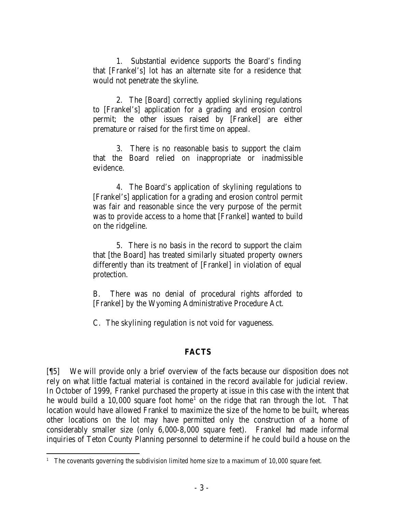1. Substantial evidence supports the Board's finding that [Frankel's] lot has an alternate site for a residence that would not penetrate the skyline.

2. The [Board] correctly applied skylining regulations to [Frankel's] application for a grading and erosion control permit; the other issues raised by [Frankel] are either premature or raised for the first time on appeal.

3. There is no reasonable basis to support the claim that the Board relied on inappropriate or inadmissible evidence.

4. The Board's application of skylining regulations to [Frankel's] application for a grading and erosion control permit was fair and reasonable since the very purpose of the permit was to provide access to a home that [Frankel] wanted to build on the ridgeline.

5. There is no basis in the record to support the claim that [the Board] has treated similarly situated property owners differently than its treatment of [Frankel] in violation of equal protection.

B. There was no denial of procedural rights afforded to [Frankel] by the Wyoming Administrative Procedure Act.

C. The skylining regulation is not void for vagueness.

### **FACTS**

[¶5] We will provide only a brief overview of the facts because our disposition does not rely on what little factual material is contained in the record available for judicial review. In October of 1999, Frankel purchased the property at issue in this case with the intent that he would build a 10,000 square foot home<sup>1</sup> on the ridge that ran through the lot. That location would have allowed Frankel to maximize the size of the home to be built, whereas other locations on the lot may have permitted only the construction of a home of considerably smaller size (only 6,000-8,000 square feet). Frankel had made informal inquiries of Teton County Planning personnel to determine if he could build a house on the

<sup>&</sup>lt;sup>1</sup> The covenants governing the subdivision limited home size to a maximum of 10,000 square feet.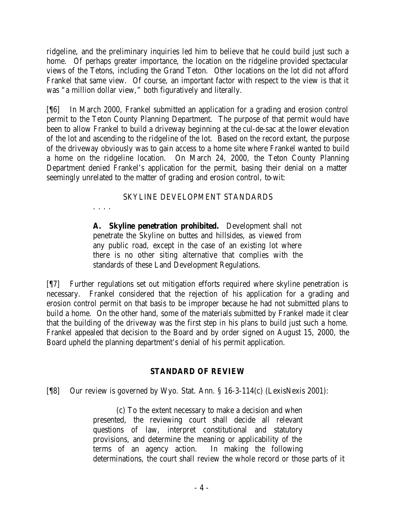ridgeline, and the preliminary inquiries led him to believe that he could build just such a home. Of perhaps greater importance, the location on the ridgeline provided spectacular views of the Tetons, including the Grand Teton. Other locations on the lot did not afford Frankel that same view. Of course, an important factor with respect to the view is that it was "a million dollar view," both figuratively and literally.

[¶6] In March 2000, Frankel submitted an application for a grading and erosion control permit to the Teton County Planning Department. The purpose of that permit would have been to allow Frankel to build a driveway beginning at the cul-de-sac at the lower elevation of the lot and ascending to the ridgeline of the lot. Based on the record extant, the purpose of the driveway obviously was to gain access to a home site where Frankel wanted to build a home on the ridgeline location. On March 24, 2000, the Teton County Planning Department denied Frankel's application for the permit, basing their denial on a matter seemingly unrelated to the matter of grading and erosion control, to-wit:

# SKYLINE DEVELOPMENT STANDARDS

. . . .

**A. Skyline penetration prohibited.** Development shall not penetrate the Skyline on buttes and hillsides, as viewed from any public road, except in the case of an existing lot where there is no other siting alternative that complies with the standards of these Land Development Regulations.

[¶7] Further regulations set out mitigation efforts required where skyline penetration is necessary. Frankel considered that the rejection of his application for a grading and erosion control permit on that basis to be improper because he had not submitted plans to build a home. On the other hand, some of the materials submitted by Frankel made it clear that the building of the driveway was the first step in his plans to build just such a home. Frankel appealed that decision to the Board and by order signed on August 15, 2000, the Board upheld the planning department's denial of his permit application.

# **STANDARD OF REVIEW**

[¶8] Our review is governed by Wyo. Stat. Ann. § 16-3-114(c) (LexisNexis 2001):

(c) To the extent necessary to make a decision and when presented, the reviewing court shall decide all relevant questions of law, interpret constitutional and statutory provisions, and determine the meaning or applicability of the terms of an agency action. In making the following determinations, the court shall review the whole record or those parts of it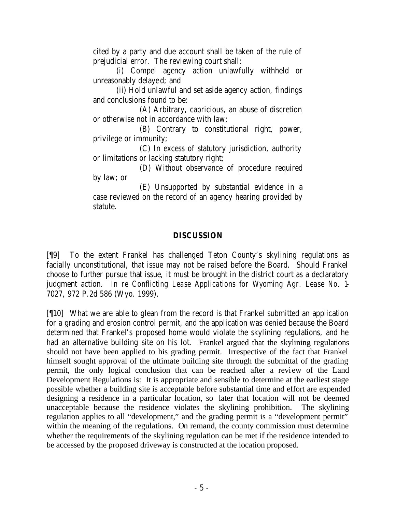cited by a party and due account shall be taken of the rule of prejudicial error. The reviewing court shall:

(i) Compel agency action unlawfully withheld or unreasonably delayed; and

(ii) Hold unlawful and set aside agency action, findings and conclusions found to be:

(A) Arbitrary, capricious, an abuse of discretion or otherwise not in accordance with law;

(B) Contrary to constitutional right, power, privilege or immunity;

(C) In excess of statutory jurisdiction, authority or limitations or lacking statutory right;

(D) Without observance of procedure required by law; or

(E) Unsupported by substantial evidence in a case reviewed on the record of an agency hearing provided by statute.

# **DISCUSSION**

[¶9] To the extent Frankel has challenged Teton County's skylining regulations as facially unconstitutional, that issue may not be raised before the Board. Should Frankel choose to further pursue that issue, it must be brought in the district court as a declaratory judgment action. *In re Conflicting Lease Applications for Wyoming Agr. Lease No. 1-* 7027, 972 P.2d 586 (Wyo. 1999).

[¶10] What we are able to glean from the record is that Frankel submitted an application for a grading and erosion control permit, and the application was denied because the Board determined that Frankel's proposed home would violate the skylining regulations, and he had an alternative building site on his lot. Frankel argued that the skylining regulations should not have been applied to his grading permit. Irrespective of the fact that Frankel himself sought approval of the ultimate building site through the submittal of the grading permit, the only logical conclusion that can be reached after a review of the Land Development Regulations is: It is appropriate and sensible to determine at the earliest stage possible whether a building site is acceptable before substantial time and effort are expended designing a residence in a particular location, so later that location will not be deemed unacceptable because the residence violates the skylining prohibition. The skylining regulation applies to all "development," and the grading permit is a "development permit" within the meaning of the regulations. On remand, the county commission must determine whether the requirements of the skylining regulation can be met if the residence intended to be accessed by the proposed driveway is constructed at the location proposed.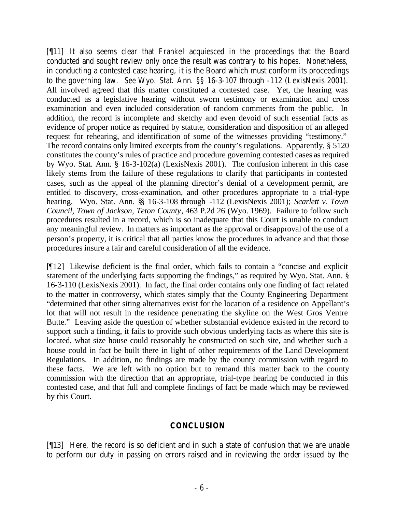[¶11] It also seems clear that Frankel acquiesced in the proceedings that the Board conducted and sought review only once the result was contrary to his hopes. Nonetheless, in conducting a contested case hearing, it is the Board which must conform its proceedings to the governing law. *See* Wyo. Stat. Ann. §§ 16-3-107 through -112 (LexisNexis 2001). All involved agreed that this matter constituted a contested case. Yet, the hearing was conducted as a legislative hearing without sworn testimony or examination and cross examination and even included consideration of random comments from the public. In addition, the record is incomplete and sketchy and even devoid of such essential facts as evidence of proper notice as required by statute, consideration and disposition of an alleged request for rehearing, and identification of some of the witnesses providing "testimony." The record contains only limited excerpts from the county's regulations. Apparently, § 5120 constitutes the county's rules of practice and procedure governing contested cases as required by Wyo. Stat. Ann. § 16-3-102(a) (LexisNexis 2001). The confusion inherent in this case likely stems from the failure of these regulations to clarify that participants in contested cases, such as the appeal of the planning director's denial of a development permit, are entitled to discovery, cross-examination, and other procedures appropriate to a trial-type hearing. Wyo. Stat. Ann. §§ 16-3-108 through -112 (LexisNexis 2001); *Scarlett v. Town Council, Town of Jackson, Teton County*, 463 P.2d 26 (Wyo. 1969). Failure to follow such procedures resulted in a record, which is so inadequate that this Court is unable to conduct any meaningful review. In matters as important as the approval or disapproval of the use of a person's property, it is critical that all parties know the procedures in advance and that those procedures insure a fair and careful consideration of all the evidence.

[¶12] Likewise deficient is the final order, which fails to contain a "concise and explicit statement of the underlying facts supporting the findings," as required by Wyo. Stat. Ann. § 16-3-110 (LexisNexis 2001). In fact, the final order contains only one finding of fact related to the matter in controversy, which states simply that the County Engineering Department "determined that other siting alternatives exist for the location of a residence on Appellant's lot that will not result in the residence penetrating the skyline on the West Gros Ventre Butte." Leaving aside the question of whether substantial evidence existed in the record to support such a finding, it fails to provide such obvious underlying facts as where this site is located, what size house could reasonably be constructed on such site, and whether such a house could in fact be built there in light of other requirements of the Land Development Regulations. In addition, no findings are made by the county commission with regard to these facts. We are left with no option but to remand this matter back to the county commission with the direction that an appropriate, trial-type hearing be conducted in this contested case, and that full and complete findings of fact be made which may be reviewed by this Court.

### **CONCLUSION**

[¶13] Here, the record is so deficient and in such a state of confusion that we are unable to perform our duty in passing on errors raised and in reviewing the order issued by the